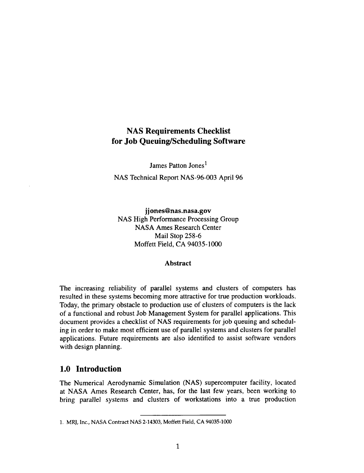# **NAS Requirements Checklist for Job Queuing/Scheduling Software**

James Patton Jones<sup>1</sup> NAS Technical Report NAS-96-003 April 96

jjones@nas.nasa.gov NAS High **Performance** Processing Group NASA Ames Research Center Mail Stop 258-6 Moffett Field, CA 94035-1000

#### **Abstract**

**The** increasing reliability of parallel systems **and** clusters of computers has resulted in these systems becoming more attractive for true production workloads. Today, the primary obstacle to production use of clusters of computers is the lack of a functional and robust Job Management System for parallel applications. This document provides a checklist of NAS requirements for job queuing and scheduling in order to make most efficient use of parallel systems and clusters for parallel applications. Future requirements are also identified to assist software vendors with design planning.

# **1.0 Introduction**

The Numerical Aerodynamic Simulation (NAS) supercomputer facility, located at NASA Ames Research Center, has, for the last few years, been working to bring parallel systems and clusters of workstations into a true production

<sup>1.</sup> MRJ, Inc., **NASA Contract NAS 2-14303,** Moffett Field, **CA 94035-1000**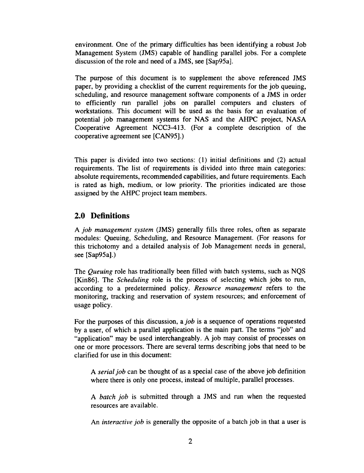environment. One of the primary difficulties has been identifying a robust Job Management System (JMS) capable of handling parallel jobs. For a complete discussion of the role and need of a JMS, see [Sap95a].

The purpose of this **document** is to supplement the above referenced JMS paper, by providing a checklist of the current requirements for the job queuing, scheduling, and resource management software components of a JMS in order to efficiently run parallel jobs on parallel computers and clusters of workstations. This document will be used as the basis for an evaluation of potential job management systems for NAS and the AHPC project, NASA Cooperative Agreement NCC3-413. (For a complete description of the cooperative agreement see [CAN95].)

This paper is divided into two sections: (1) initial definitions and (2) actual requirements. The list of requirements is divided into three main categories: absolute requirements, recommended capabilities, and future requirements. Each is rated as high, medium, or low priority. The priorities indicated are those assigned by the AHPC project team members.

## **2.0 Definitions**

A *job management system* (JMS) generally **fills** three roles, often as separate modules: Queuing, Scheduling, and Resource Management. (For reasons for this trichotomy and a detailed analysis of Job Management needs in general, see [Sap95a].)

**The** *Queuing* role has traditionally been **filled** with batch systems, such as NQS [Kin86]. The *Scheduling* role is the process of selecting which jobs to run, according to a predetermined policy. *Resource management* refers to the monitoring, tracking and reservation of system resources; and enforcement of usage policy.

For the purposes of this discussion, a *job* is a sequence of operations requested by a user, of which a parallel application is the main part. The terms "job" and "application" may be used interchangeably. A job may consist of processes on one or more processors. There are several terms describing jobs that need to be clarified for use in this document:

A *serial job* can be thought of as a special case of the above job definition where there is only one process, instead of multiple, parallel processes.

A *batch job* is submitted through a JMS and run when the requested resources are available.

An *interactive job* is generally the opposite of a batch job in that a user is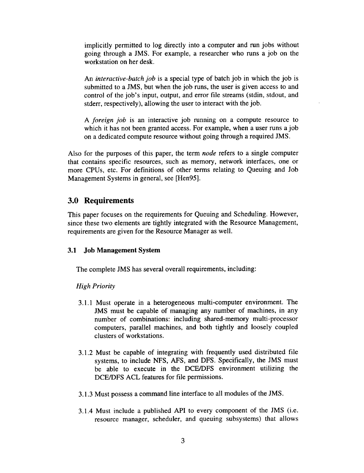implicitly permitted to log directly into a computer and run jobs without going through a JMS. For example, a researcher who runs a job on the workstation on her desk.

An *interactive-batch job* is a special type of batch job in which the job is submitted to a JMS, but when the job runs, the user is given access to and control of the job's input, output, and error file streams (stdin, stdout, and stderr, respectively), allowing the user to interact with the job.

A *foreign job* is an interactive job running on a compute resource to which it has not been granted access. For example, when a user runs a job on a dedicated compute resource without going through a required JMS.

Also for the purposes of this paper, the term *node* refers to a single computer that contains specific resources, such as memory, network interfaces, one or more CPUs, etc. For definitions of other terms relating to Queuing and Job Management Systems in general, see [Hen95].

## 3.0 **Requirements**

This paper focuses on the requirements for Queuing and Scheduling. However, since these two elements are tightly integrated with the Resource Management, requirements are given for the Resource Manager as well.

#### **3.1 Job Management System**

The complete JMS has several overall requirements, including:

#### *High Priority*

- 3.1.1 Must operate in **a** heterogeneous multi-computer environment. The JMS must be capable of managing any number of machines, in any number of combinations: including shared-memory multi-processor computers, parallel machines, and both tightly and loosely coupled clusters of workstations.
- 3.1.2 Must be capable of integrating with frequently used distributed file systems, to include NFS, AFS, and DFS. Specifically, the JMS must be able to execute in the DCE/DFS environment utilizing the DCE/DFS ACL features for file permissions.
- 3.1.3 Must possess a command line interface to all modules of the JMS.
- 3.1.4 Must include a published API to every component of the JMS (i.e. resource manager, scheduler, and queuing subsystems) that allows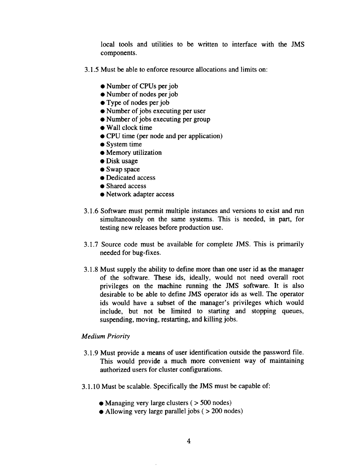local tools and utilities to be written to interface with the JMS components.

- 3.1.5 Must be able to enforce resource allocations and limits on:
	- Number of CPUs per job
	- Number of nodes per job
	- Type of nodes per job
	- Number of jobs executing per user
	- Number of jobs executing per group
	- Wall clock time
	- CPU time (per node and per application)
	- $\bullet$  System time
	- Memory utilization
	- Disk usage
	- Swap space
	- Dedicated access
	- Shared access
	- Network adapter access
- 3.1.6 Software must permit multiple instances and versions to exist and run simultaneously on the same systems. This is needed, in part, for testing new releases before production use.
- 3.1.7 Source code must be available for complete JMS. This is primarily needed for bug-fixes.
- 3.1.8 Must supply the ability to define more than one user id as the manager of the software. These ids, ideally, would not need overall root privileges on the machine running the JMS software. It is also desirable to be able to define JMS operator ids as well. The operator ids would have a subset of the manager's privileges which would include, but not be limited to starting and stopping queues, suspending, moving, restarting, and killing jobs.

### *Medium Priority*

- 3.1.9 Must provide a means of user identification outside the password file. This would provide a much more convenient way of maintaining authorized users for cluster configurations.
- 3.1.10 Must be scalable. Specifically the JMS must be capable of:
	- Managing very large clusters  $($  > 500 nodes)
	- Allowing very large parallel jobs ( > 200 nodes)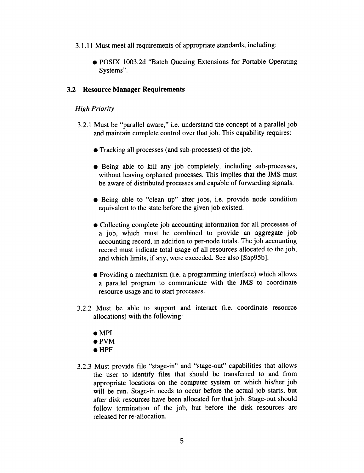- 3.1.11 Must meet all requirements of appropriate standards, including:
	- **•** POSIX 1003.2d "Batch Queuing Extensions for Portable Operating Systems".

#### 3.2 **Resource Manager Requirements**

## *High Priority*

- 3.2.1 Must be "parallel aware," i.e. understand the concept of a parallel job and maintain complete control over that job. This capability requires:
	- Tracking all processes (and sub-processes) of the job.
	- Being able to kill any job completely, including sub-processes, without leaving orphaned processes. This implies that the JMS must be aware of distributed processes and capable of forwarding signals.
	- Being able to "clean up" after jobs, i.e. provide node condition equivalent to the state before the given job existed.
	- Collecting complete job accounting information for all processes of a job, which must be combined to provide an aggregate job accounting record, in addition to per-node totals. The job accounting record must indicate total usage of all resources allocated to the job, and which limits, if any, were exceeded. See also [Sap95b].
	- Providing a mechanism (i.e. a programming interface) which allows a parallel program to communicate with the JMS to coordinate resource usage and to start processes.
- 3.2.2 Must be able to support and interact (i.e. coordinate resource allocations) with the following:
	- MPI
	- PVM
	- HPF
- 3.2.3 Must provide file "stage-in" and "stage-out" capabilities that allows the user to identify files that should be transferred to and from appropriate locations on the computer system on which his/her job will be run. Stage-in needs to occur before the actual job starts, but after disk resources have been allocated for that job. Stage-out should follow termination of the job, but before the disk resources are released for re-allocation.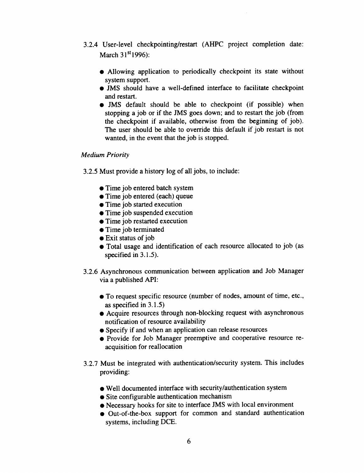- 3.2.4 User-level checkpointing/restart**(AHPC** project completion date: March  $31<sup>st</sup>1996$ :
	- Allowing application to periodically checkpoint its state without system support.
	- JMS should have a well-defined interface to facilitate checkpoint and restart.
	- JMS default **should** be able **to** checkpoint (if possible) when stopping a job or if the JMS goes down; and to **restart the** job (from **the** checkpoint if available, otherwise from the beginning of job). The user should be able to override this default if job restart is not wanted, in the event **that the** job is stopped.

## *Medium Priority*

3.2.5 Must provide a history log of all jobs, to include:

- Time job entered batch system
- Time job entered (each) queue
- Time job started **execution**
- Time job **suspended execution**
- Time job restarted **execution**
- Time job **terminated**
- Exit **status** of job
- Total usage and identification of each resource allocated to job (as specified in 3.1.5).
- 3.2.6 Asynchronous communication between application and Job Manager via a published API:
	- To request specific resource (number of nodes, amount of time, etc., as specified in 3.1.5)
	- Acquire resources through non-blocking request with asynchronous notification of resource availability
	- Specify if and when an application can release resources
	- Provide for Job Manager preemptive and cooperative resource reacquisition for reallocation
- 3.2.7 Must be integrated with authentication/security system. This includes providing:
	- Well documented interface with security/authentication system
	- Site configurable authentication mechanism
	- Necessary hooks for site to interface JMS with local environment
	- Out-of-the-box support for common and standard authentication systems, including DCE.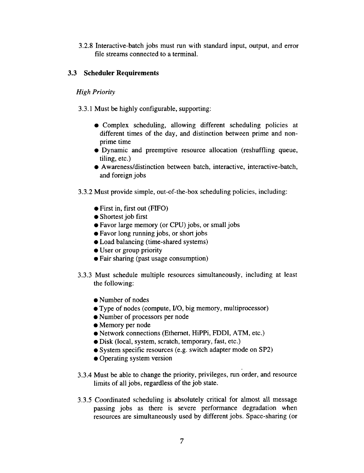3.2.8 Interactive-batch jobs must run with standard input, output, and error file streams connected to a terminal.

## **3.3 Scheduler Requirements**

## *High Priority*

3.3.1 Must be highly configurable, supporting:

- Complex scheduling, allowing different scheduling policies at different times of the day, and distinction between prime and nonprime time
- Dynamic and preemptive resource allocation (reshuffling queue, tiling, etc.)
- Awareness/distinction between batch, interactive, interactive-batch, and foreign jobs
- 3.3.2 Must provide simple, out-of-the-box scheduling policies, including:
	- First in, first out (FIFO)
	- Shortest job first
	- Favor large memory (or CPU) jobs, or small jobs
	- Favor long running jobs, or short jobs
	- Load balancing (time-shared systems)
	- User or group priority
	- Fair sharing (past usage consumption)
- 3.3.3 Must schedule multiple resources simultaneously, including at least the following:
	- Number of nodes
	- Type of nodes (compute, I/O, big memory, multiprocessor)
	- Number of processors per node
	- Memory per node
	- Network connections (Ethernet, HiPPi, FDDI, ATM, etc.)
	- Disk (local, system, scratch, temporary, fast, etc.)
	- System specific resources (e.g. switch adapter mode on SP2)
	- Operating system version
- 3.3.4 Must be **able** to change the priority, privileges, run order, and resource limits of all jobs, regardless of the job state.
- 3.3.5 *Coordinated* scheduling is absolutely critical for almost all message passing jobs as there is severe performance degradation when resources are simultaneously used by different jobs. Space-sharing (or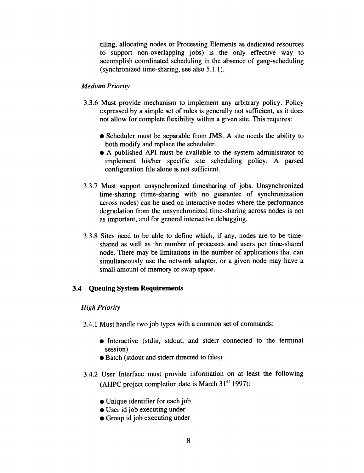tiling, allocating nodes or Processing Elements as dedicated resources to support non-overlapping jobs) is the only effective way to accomplish coordinated scheduling in the absence of gang-scheduling (synchronized time-sharing, see also  $5.1.1$ ).

#### *Medium Priority*

- 3.3.6 Must provide mechanism to implement any arbitrary policy. Policy expressed by a simple set of rules is generally not sufficient, as it does not allow for complete flexibility within a given site. This requires:
	- **•** Scheduler must be separable from JMS. A site needs the ability to both modify and replace the scheduler.
	- A published API must be available to the system administrator to implement his/her specific site scheduling policy. A parsed configuration file alone is not sufficient.
- 3.3.7 Must support unsynchronized timesharing of jobs. Unsynchronized time-sharing (time-sharing with no guarantee of synchronization across nodes) can be used on interactive nodes where the performance degradation from the unsynchronized time-sharing across nodes is not as important, and for general interactive debugging.
- 3.3.8 Sites need to be able to define which, if any, nodes are to be timeshared as well as the number of processes and users per time-shared node. There may be limitations in the number of applications that can simultaneously use the network adapter, or a given node may have a small amount of memory or swap space.

#### 3.4 Queuing **System Requirements**

#### *High Priority*

- 3.4.1 Must handle two job types with a common set of commands:
	- Interactive (stdin, stdout, and stderr connected to the terminal session)
	- **•** Batch (stdout and stderr directed to files)
- 3.4.2 User Interface must provide information on at least the following (AHPC project completion date is March  $31<sup>st</sup>$  1997):
	- Unique identifier for each job
	- User id job executing under
	- Group id job executing under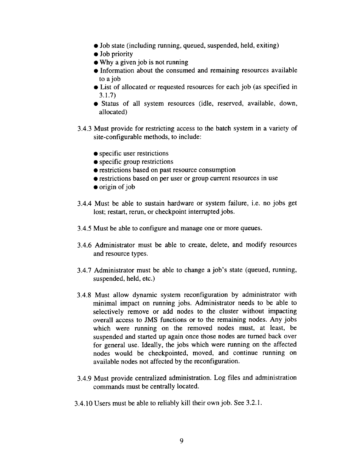- Job state (including running, queued, suspended, held, exiting)
- $\bullet$  Job priority
- Why a given job is not running
- $\bullet$  Information about the consumed and remaining resources available to a job
- List of allocated or requested resources for each job (as specified in 3.1.7)
- Status of all system resources (idle, reserved, available, down, allocated)
- 3.4.3 Must provide for restricting access to the batch system in a variety of site-configurable methods, to include:
	- specific user restrictions
	- $\bullet$  specific group restrictions
	- restrictions based on past resource consumption
	- restrictions based on per user or group current resources in use
	- origin of job
- 3.4.4 Must be able to sustain hardware or system failure, i.e. no jobs get lost; restart, rerun, or checkpoint interrupted jobs.
- 3.4.5 Must be able to configure and manage one or more queues.
- 3.4.6 Administrator must be able to create, delete, and modify resources and resource types.
- 3.4.7 Administrator must be able to change a job's state (queued, running, suspended, held, etc.)
- 3.4.8 Must allow dynamic system reconfiguration by administrator with minimal impact on running jobs. Administrator needs to be able to selectively remove or add nodes to the cluster without impacting overall access to JMS functions or to the remaining nodes. Any jobs which were running on the removed nodes must, at least, be suspended and started up again once those nodes are turned back over for general use. Ideally, the jobs which were running on the affected nodes would be checkpointed, moved, and continue running on available nodes not affected by the reconfiguration.
- 3.4.9 Must provide centralized administration. Log files and administration commands must be centrally located.
- 3.4.10 Users must be able to reliably kill their own job. See 3.2.1.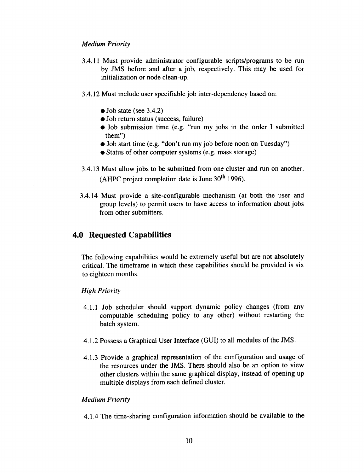### *Medium Priority*

- 3.4.11 Must provide administrator configurable scripts/programs to be run by JMS before and after a job, respectively. This may be used for initialization or node clean-up.
- 3.4.12 Must include user specifiable job inter-dependency based on:
	- Job state (see 3.4.2)
	- Job return status (success, failure)
	- Job submission time (e.g. "run my jobs in the order I submitted them")
	- Job start time (e.g. "don't run my job before noon on Tuesday")
	- Status of other computer systems (e.g. mass storage)
- 3.4.13 Must allow jobs to be submitted from one cluster and run on another. (AHPC project completion date is June  $30<sup>th</sup>$  1996).
- 3.4.14 Must provide a site-configurable mechanism (at both the user and group levels) to permit users to have access to information about jobs from other submitters.

# **4.0 Requested** Capabilities

The following capabilities would be extremely useful but **are** not absolutely critical. The timeframe in which these capabilities should be provided is six to eighteen months.

## *High Priority*

- 4.1.1 Job scheduler should support dynamic policy changes (from any computable scheduling policy to any other) without restarting the batch system.
- 4.1.2 Possess a Graphical **User** Interface (GUI) to all modules of the JMS.
- 4.1.3 Provide a graphical representation of the configuration and usage of the resources under the JMS. There should also be an option to view other clusters within the same graphical display, instead of opening up multiple displays from each defined cluster.

## *Medium Priority*

4.1.4 The time-sharing configuration information should be available to the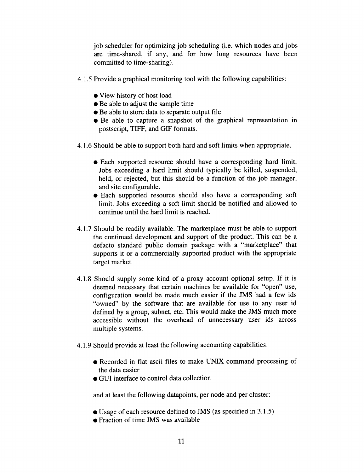job scheduler for optimizing job scheduling (i.e. which nodes and jobs are time-shared, if any, and for how long resources have been committed to time-sharing).

- 4.1.5 Provide a graphical monitoring tool with the following capabilities:
	- **•** View history of host load
	- Be able to adjust the sample time
	- Be able to store data to separate output file
	- Be able to capture a snapshot of the graphical representation in postscript, TIFF, and GIF formats.
- 4.1.6 Should be able to support both hard and soft limits when appropriate.
	- Each supported resource should have a corresponding hard limit. Jobs exceeding a hard limit should typically be killed, suspended, held, or rejected, but this should be a function of the job manager, and site configurable.
	- Each supported resource should also have a corresponding soft limit. Jobs exceeding a soft limit should be notified and allowed to continue until the hard limit is reached.
- 4.1.7 Should be readily available. The marketplace must be able to support the continued development and support of the product. This can be a defacto standard public domain package with a "marketplace" that supports it or a commercially supported product with the appropriate target market.
- 4.1.8 Should supply some kind of a proxy account optional setup. If it is deemed necessary that certain machines be available for "open" use, configuration would be made much easier if the JMS had a few ids "owned" by the software that are available for use to any user id defined by a group, subnet, etc. This would make the JMS much more accessible without the overhead of unnecessary user ids across multiple systems.
- 4.1.9 Should provide at least the following accounting capabilities:
	- Recorded in flat ascii files to make UNIX command processing of the data easier
	- GUI interface to control data collection

and at least the following datapoints, per node and per cluster:

- Usage of each resource defined to JMS (as specified in 3.1.5)
- Fraction of time JMS was available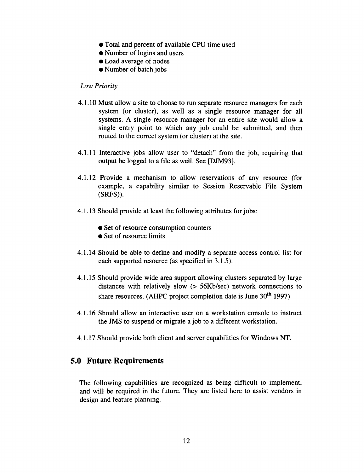- Total and percent of available CPU time used
- Number of logins and users
- Load average of nodes
- Number of batch jobs

#### *Low Priority*

- 4.1.10 Must allow a site to choose to run separate resource managers for each system (or cluster), as well as a single resource manager for all systems. A single resource manager for an entire site would allow a single entry point to which any job could be submitted, and then routed to the correct system (or cluster) at the site.
- 4.1.11 Interactive jobs allow user to "detach" from the job, requiring that output be logged to a file as well. See [DJM93].
- 4.1.12 Provide a mechanism to allow reservations of any resource (for example, a capability similar to Session Reservable File System (SRFS)).
- 4.1.13 Should provide at least the following attributes for jobs:
	- Set of resource consumption counters
	- Set of resource limits
- 4.1.14 Should be able to define and modify a separate access control list for each supported resource (as specified in 3.1.5).
- 4.1.15 Should provide wide area support allowing clusters separated by large distances with relatively slow (> 56Kb/sec) network connections to share resources. (AHPC project completion date is June 30<sup>th</sup> 1997)
- 4.1.16 Should allow an interactive user on a workstation console to instruct the JMS to suspend or migrate a job to a different workstation.
- 4.1.17 Should provide both client and server capabilities for Windows NT.

## **5.0 Future Requirements**

**The** following capabilities are recognized as being difficult to implement, and will be required in the future. They are listed here to assist vendors in design and feature planning.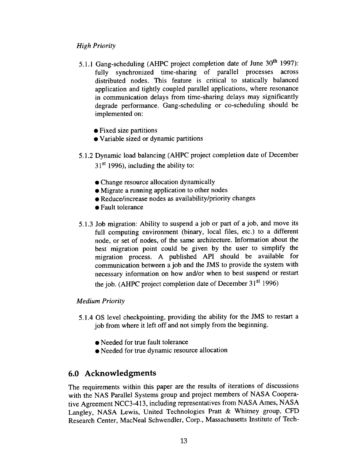## *High Priority*

- 5.1.1 Gang-scheduling (AHPC project completion date of June 30<sup>th</sup> 1997): fully synchronized time-sharing of parallel processes across distributed nodes. This feature is critical to statically balanced application and tightly coupled parallel applications, where resonance in communication delays from time-sharing delays may significantly degrade performance. Gang-scheduling or co-scheduling should be implemented on:
	- Fixed size partitions
	- Variable sized or dynamic partitions
- 5.1.2 Dynamic load balancing (AHPC project completion date of December
	- $31<sup>st</sup>$  1996), including the ability to:
	- Change resource allocation dynamically
	- Migrate a running application to other nodes
	- Reduce/increase nodes as availability/priority changes
	- Fault tolerance
- 5.1.3 Job migration: Ability to suspend a job or part of a job, and move its full computing environment (binary, local files, etc.) to a different node, or set of nodes, of the same architecture. Information about the best migration point could be given by the user to simplify the migration process. A published API should be available for communication between a job and the JMS to provide the system with necessary information on how and/or when to best suspend or restart the job. (AHPC project completion date of December 31<sup>st</sup> 1996)

#### *Medium Priority*

- 5.1.40S level checkpointing, providing the ability for the JMS to restart a job from where it left off and not simply from the beginning.
	- Needed for true fault tolerance
	- Needed for true dynamic resource allocation

# **6.0 Acknowledgments**

The requirements within this paper are the results of iterations of discussions with the NAS Parallel Systems group and project members of NASA Cooperative Agreement NCC3-413, including representatives from NASA Ames, NASA Langley, NASA Lewis, United Technologies Pratt & Whitney group, CFD Research Center, MacNeal Schwendler, Corp., Massachusetts Institute of Tech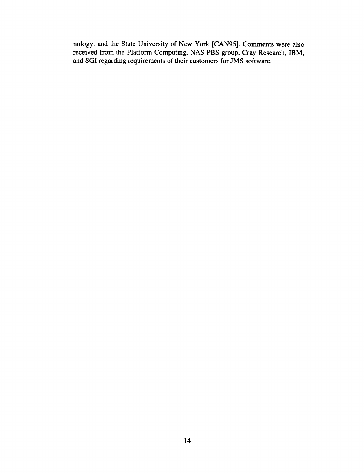nology, and the State University of New York [CAN95]. Comments were also received from the Platform Computing, NAS PBS group, Cray Research, IBM, and SGI regarding requirements of their customers for JMS software.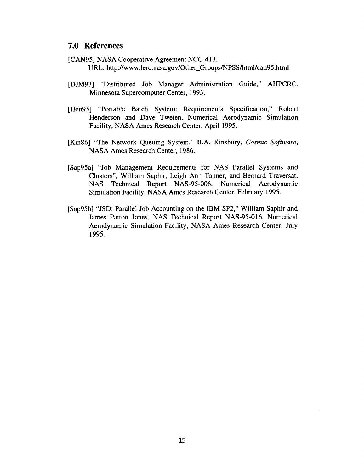## **7.0 References**

- [CAN95] NASA Cooperative Agreement NCC-413. **URL:** http://www.lerc.nasa.gov/Other\_Groups/NPSS/html/can95.html
- [DJM93] "Distributed Job Manager Administration Guide," AHPCRC, Minnesota Supercomputer Center, 1993.
- [Hen95] "Portable Batch System: Requirements Specification," Robert Henderson and Dave Tweten, Numerical Aerodynamic Simulation Facility, NASA Ames Research Center, April 1995.
- [Kin86] "The Network Queuing System," B.A. Kinsbury, *Cosmic Software,* NASA Ames Research Center, 1986.
- [Sap95a] "Job Management Requirements for NAS Parallel Systems and Clusters", William Saphir, Leigh Ann Tanner, and Bernard Traversat, NAS Technical Report NAS-95-006, Numerical Aerodynamic Simulation Facility, NASA Ames Research Center, February 1995.
- [Sap95b] "JSD: Parallel Job Accounting on the IBM SP2," William Saphir and James Patton Jones, NAS Technical Report NAS-95-016, Numerical Aerodynamic Simulation Facility, NASA Ames Research Center, July 1995.